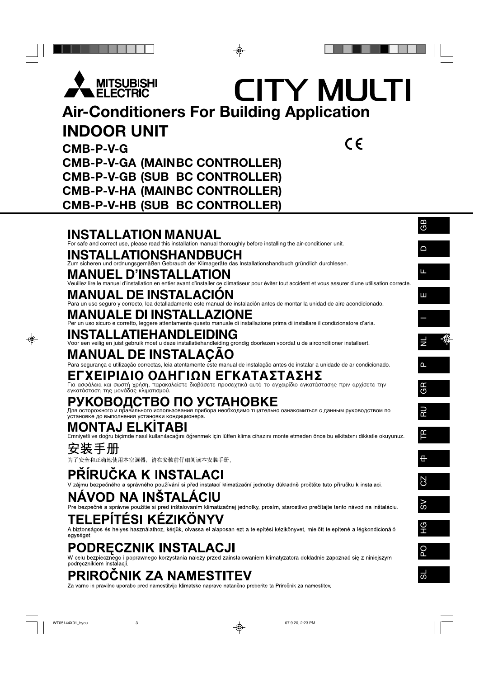

## CITY MULTI **Air-Conditioners For Building Application INDOOR UNIT**  $C \in$

**CMB-P-V-G CMB-P-V-GA (MAINBC CONTROLLER) CMB-P-V-GB (SUB BC CONTROLLER) CMB-P-V-HA (MAINBC CONTROLLER) CMB-P-V-HB (SUB BC CONTROLLER)**

## **INSTALLATION MANUAL**

For safe and correct use, please read this installation manual thoroughly before installing the air-conditioner unit.

## **TALLATIONSHANDBUCH**<br>eren und ordnungsgemäßen Gebrauch der Klimageräte das II

Gebrauch der Klimageräte das Installationshandbuch gründlich durchlesen.

## **MANUEL D'INSTALLATION**

Veuillez lire le manuel d'installation en entier avant d'installer ce climatiseur pour éviter tout accident et vous assurer d'une utilisation correcte.

## **MANUAL DE INSTALACIÓN**

Para un uso seguro y correcto, lea detalladamente este manual de instalación antes de montar la unidad de aire acondicionado.

## **E DI INSTAI**

Per un uso sicuro e corretto, leggere attentamente questo manuale di installazione prima di installare il condizionatore d'aria.

## **INSTALLATIEHANDLEIDING**

Voor een veilig en juist gebruik moet u deze installatiehandleiding grondig doorlezen voordat u de airconditioner installeert.

## **MANUAL DE INSTALAÇÃO**

Para segurança e utilização correctas, leia atentamente este manual de instalação antes de instalar a unidade de ar condicionado.

## **ΈΧΕΙΡΙΔΙΟ ΟΔΗΓΙΩΝ ΕΓΚΑΤΑΣΤΑΣΗΣ**

Για ασφάλεια και σωστή χρήση, παρακαλείστε διαβάσετε προσεχτικά αυτό το εγχειρίδιο εγκατάστασης πριν αρχίσετε την εγκατάσταση της μονάδας κλιματισμού.

# **РУКОВОДСТВО ПО УСТАНОВКЕ** Для осторожного и правильного использования прибора необходимо тщательно ознакомиться с данным руководством по

установке до выполнения установки кондиционера.

## **MONTAJ ELK‹TABI**

Emniyetli ve doğru biçimde nasıl kullanılacağını öğrenmek için lütfen klima cihazını monte etmeden önce bu elkitabını dikkatle okuyunuz.

安装丰卅

为了安全和正确地使用本空调器,请在安装前仔细阅读本安装手册。

## PŘÍRUČKA K INSTALACI

V zájmu bezpečného a správného používání si před instalací klimatizační jednotky důkladně pročtěte tuto příručku k instalaci.

## NAVOD NA INSTALACIU

Pre bezpečné a správne použitie si pred inštalovaním klimatizačnej jednotky, prosím, starostlivo prečítajte tento návod na inštaláciu.

## **EPITÉSI KÉZIKONYV**

A biztonságos és helyes használathoz, kérjük, olvassa el alaposan ezt a telepítési kézikönyvet, mielőtt telepítené a légkondicionáló egységet.

## PODRECZNIK INSTALACJI

W celu bezpiecznego i poprawnego korzystania należy przed zainstalowaniem klimatyzatora dokładnie zapoznać się z niniejszym podrecznikiem instalacji.

## **PRIROCNIK ZA NAMESTITEV**

Za varno in pravilno uporabo pred namestitvijo klimatske naprave natančno preberite ta Priročnik za namestitev.

GB

 $\overline{\phantom{0}}$ 



SL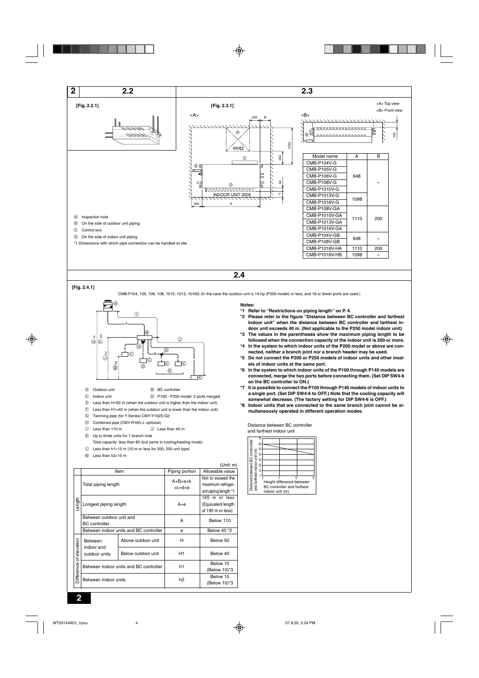

#### **[Fig. 2.4.1]**

CMB-P104, 105, 106, 108, 1010, 1013, 1016G (In the case the outdoor unit is 14-hp (P350 model) or less, and 16 or fewer ports are used.)



- A Outdoor unit B BC controller
	-
- C Indoor unit D P100 P250 model: 2 ports merged.
- E Less than H=50 m (when the outdoor unit is higher than the indoor unit)
- $(F)$  Less than H1=40 m (when the outdoor unit is lower than the indoor unit)
- G Twinning pipe (for Y Series) CMY-Y102S-G2 H Combined pipe (CMY-R160-J: optional)
- 
- 10 Less than 110 m  $\circledR$  Less than 40 m
- $R$  Up to three units for 1 branch hole
- Total capacity: less than 80 (but same in cooling/heating mode)
- $\mathbb O$  Less than h1=15 m (10 m or less for 200, 250 unit type)
- M Less than h2=15 m

#### (Unit: m) Item Piping portion | Allowable value Not to exceed the Total piping length  $A+B+a+b$ <br>+c+d+e maximum refrigerant piping length \*1 165 m or less Length Longest piping length  $A+e$ (Equivalent length of 190 m or less) Between outdoor unit and <br>BC controller **A** Below 110 Between indoor units and BC controller e Below 40 \*2 Between Above outdoor unit H H Below 50 elevation Difference of elevation indoor and Below outdoor unit H1 H1 Below 40 outdoor units Between indoor units and BC controller h1 Below 15 Difference (Below 10)\*3 Between indoor units here had below 15 (Below 10)\*3

#### **Notes:**

- **\*1 Refer to "Restrictions on piping length" on P. 4.**
- **\*2 Please refer to the figure "Distance between BC controller and farthest Indoor unit" when the distance between BC controller and farthest indoor unit exceeds 40 m. (Not applicable to the P250 model indoor unit)**
- **\*3 The values in the parentheses show the maximum piping length to be followed when the connection capacity of the indoor unit is 200 or more. \*4 In the system to which indoor units of the P200 model or above are con-**
- **nected, neither a branch joint nor a branch header may be used.**
- **\*5 Do not connect the P200 or P250 models of indoor units and other models of indoor units at the same port.**
- **\*6 In the system to which indoor units of the P100 through P140 models are connected, merge the two ports before connecting them. (Set DIP SW4-6 on the BC controller to ON.)**
- **\*7 It is possible to connect the P100 through P140 models of indoor units to a single port. (Set DIP SW4-6 to OFF.) Note that the cooling capacity will somewhat decrease. (The factory setting for DIP SW4-6 is OFF.)**
- **\*8 Indoor units that are connected to the same branch joint cannot be simultaneously operated in different operation modes.**

Distance between BC controller and farthest indoor unit

|                                      | 70<br>60 |                                   |    |    |
|--------------------------------------|----------|-----------------------------------|----|----|
|                                      |          |                                   |    |    |
| Distance between BC contoroller<br>Ē | 50<br>40 |                                   |    |    |
|                                      | 30       |                                   |    |    |
|                                      |          |                                   |    |    |
|                                      | 20       |                                   |    |    |
| and farthest indoor unit             | 10<br>0  |                                   |    |    |
|                                      |          |                                   | 10 | 15 |
|                                      |          | Height difference between         |    |    |
|                                      |          | <b>BC</b> controller and farthest |    |    |
|                                      |          | indoor unit (m)                   |    |    |

 $\overline{a}$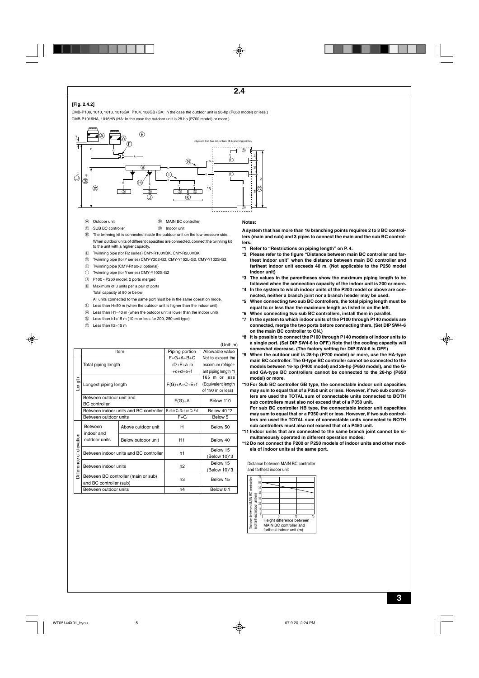#### **[Fig. 2.4.2]**

CMB-P108, 1010, 1013, 1016GA, P104, 108GB (GA: In the case the outdoor unit is 26-hp (P650 model) or less.) CMB-P1016HA, 1016HB (HA: In the case the outdoor unit is 28-hp (P700 model) or more.)



- A Outdoor unit B MAIN BC controller
- C SUB BC controller D Indoor unit
- 
- E The twinning kit is connected inside the outdoor unit on the low-pressure side. When outdoor units of different capacities are connected, connect the twinning kit to the unit with a higher capacity.
- F Twinning pipe (for R2 series) CMY-R100VBK, CMY-R200VBK
- G Twinning pipe (for Y series) CMY-Y202-G2, CMY-Y102L-G2, CMY-Y102S-G2
- H Twinning pipe (CMY-R160-J: optional)
- $\circledR$  Twinning pipe (for Y series) CMY-Y102S-G2
- J P100 P250 model: 2 ports merged
- $R$  Maximum of 3 units per a pair of ports Total capacity of 80 or below
- All units connected to the same port must be in the same operation mode.

 $\mathbb O$  Less than H=50 m (when the outdoor unit is higher than the indoor unit)

- $M$  Less than H1=40 m (when the outdoor unit is lower than the indoor unit)
- $\circledR$  Less than h1=15 m (10 m or less for 200, 250 unit type)
- O Less than h2=15 m

#### (Unit: m) Item | Piping portion | Allowable value  $F+G+A+B+C$ Not to exceed the Total piping length  $+D+E+a+b$ maximum refriger-+c+d+e+f ant piping length \*1 165 m or less ength (Equivalent length Longest piping length  $F(G)+A+C+E+f$ of 190 m or less) Between outdoor unit and<br>BC controller<br>Between indoor units and BC controller <br>Below 40 \*2 Between indoor units and BC controller B+d or C+D+e or C+E+f Between outdoor units Texas F+G Below 5 Between Above outdoor unit H H Below 50 indoor and Difference of elevation of elevation outdoor units Below outdoor unit H<sub>1</sub> H<sub>1</sub> Below 40 Between indoor units and BC controller h1 Below 15 (Below 10)\*3 aguea Between indoor units h2 h2 Below 15 (Below 10)\*3 清 Between BC controller (main or sub)<br>
and BC controller (sub) h3 Below 15 Between outdoor units h4 Below 0.1

#### **Notes:**

**A system that has more than 16 branching points requires 2 to 3 BC controllers (main and sub) and 3 pipes to connect the main and the sub BC controllers.**

- **\*1 Refer to "Restrictions on piping length" on P. 4.**
- **\*2 Please refer to the figure "Distance between main BC controller and farthest Indoor unit" when the distance between main BC controller and farthest indoor unit exceeds 40 m. (Not applicable to the P250 model indoor unit)**
- **\*3 The values in the parentheses show the maximum piping length to be followed when the connection capacity of the indoor unit is 200 or more.**
- **\*4 In the system to which indoor units of the P200 model or above are connected, neither a branch joint nor a branch header may be used.**
- **\*5 When connecting two sub BC controllers, the total piping length must be equal to or less than the maximum length as listed in on the left.**
- **\*6 When connecting two sub BC controllers, install them in parallel.**
- **\*7 In the system to which indoor units of the P100 through P140 models are connected, merge the two ports before connecting them. (Set DIP SW4-6 on the main BC controller to ON.)**
- **\*8 It is possible to connect the P100 through P140 models of indoor units to a single port. (Set DIP SW4-6 to OFF.) Note that the cooling capacity will somewhat decrease. (The factory setting for DIP SW4-6 is OFF.)**
- **\*9 When the outdoor unit is 28-hp (P700 model) or more, use the HA-type main BC controller. The G-type BC controller cannot be connected to the models between 16-hp (P400 model) and 26-hp (P650 model), and the Gand GA-type BC controllers cannot be connected to the 28-hp (P650 model) or more.**
- **\*10 For Sub BC controller GB type, the connectable indoor unit capacities may sum to equal that of a P350 unit or less. However, if two sub controllers are used the TOTAL sum of connectable units connected to BOTH sub controllers must also not exceed that of a P350 unit.**

**For sub BC controller HB type, the connectable indoor unit capacities may sum to equal that or a P350 unit or less. However, if two sub controllers are used the TOTAL sum of connectable units connected to BOTH sub controllers must also not exceed that of a P450 unit.**

- **\*11 Indoor units that are connected to the same branch joint cannot be simultaneously operated in different operation modes.**
- **\*12 Do not connect the P200 or P250 models of indoor units and other models of indoor units at the same port.**

Distance between MAIN BC controller and farthest indoor unit

|                                                                                     | 70 |                           |    |
|-------------------------------------------------------------------------------------|----|---------------------------|----|
|                                                                                     |    |                           |    |
|                                                                                     |    |                           |    |
|                                                                                     |    |                           |    |
|                                                                                     |    |                           |    |
|                                                                                     |    |                           |    |
|                                                                                     |    |                           |    |
|                                                                                     |    |                           |    |
| Distance between MAIN BC contoroller<br>and farthest indoor unit (m)<br>- こことのまたのです |    |                           |    |
|                                                                                     |    |                           |    |
|                                                                                     |    |                           |    |
|                                                                                     |    |                           |    |
|                                                                                     |    |                           |    |
|                                                                                     |    |                           |    |
|                                                                                     |    |                           |    |
|                                                                                     |    |                           |    |
|                                                                                     |    | 10                        | 15 |
|                                                                                     |    | Height difference between |    |
|                                                                                     |    |                           |    |
|                                                                                     |    | MAIN BC controller and    |    |
|                                                                                     |    |                           |    |
|                                                                                     |    | farthest indoor unit (m)  |    |
|                                                                                     |    |                           |    |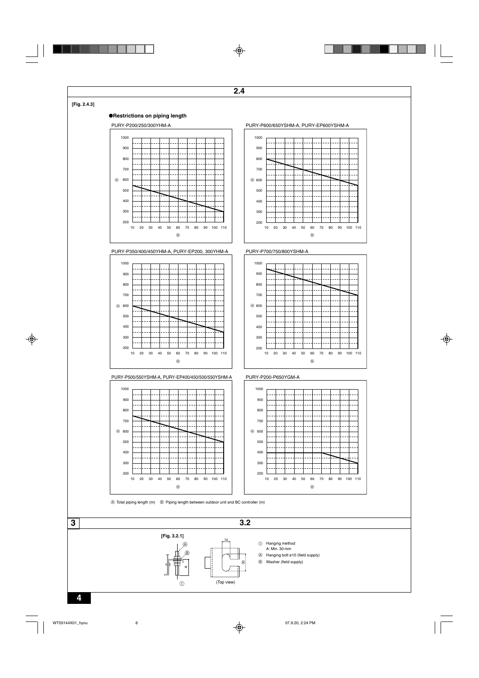#### **[Fig. 2.4.3]**

#### ●**Restrictions on piping length**









PURY-P500/550YSHM-A, PURY-EP400/450/500/550YSHM-A







 $\circledR$ 

10 20 30 40 50 60 70 80 90 100 110



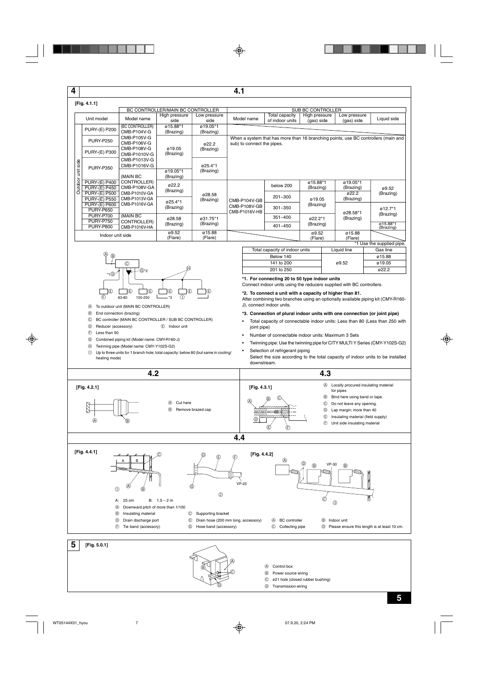**4**

|                                  | [Fig. 4.1.1]                                                 |                                |                       |                       |                               |                                   |                                                                                    |                            |                       |
|----------------------------------|--------------------------------------------------------------|--------------------------------|-----------------------|-----------------------|-------------------------------|-----------------------------------|------------------------------------------------------------------------------------|----------------------------|-----------------------|
| BC CONTROLLER/MAIN BC CONTROLLER |                                                              |                                |                       |                       |                               |                                   | <b>SUB BC CONTROLLER</b>                                                           |                            |                       |
|                                  | Unit model                                                   | Model name                     | High pressure<br>side | Low pressure<br>side  | Model name                    | Total capacity<br>of indoor units | High pressure<br>(gas) side                                                        | Low pressure<br>(gas) side | Liquid side           |
|                                  | <b>PURY-(E) P200</b>                                         | (BC CONTROLLER)<br>CMB-P104V-G | ø15.88*1<br>(Brazing) | ø19.05*1<br>(Brazing) |                               |                                   |                                                                                    |                            |                       |
|                                  | <b>PURY-P250</b>                                             | CMB-P105V-G<br>CMB-P106V-G     |                       | 022.2                 | sub) to connect the pipes.    |                                   | When a system that has more than 16 branching points, use BC controllers (main and |                            |                       |
| Outdoor unit side                | <b>PURY-(E) P300</b>                                         | CMB-P108V-G<br>CMB-P1010V-G    | ø19.05<br>(Brazing)   | (Brazing)             |                               |                                   |                                                                                    |                            |                       |
|                                  | CMB-P1013V-G<br>CMB-P1016V-G<br><b>PURY-P350</b><br>(MAIN BC |                                | ø25.4*1               |                       |                               |                                   |                                                                                    |                            |                       |
|                                  |                                                              |                                | ø19.05*1<br>(Brazing) | (Brazing)             |                               |                                   |                                                                                    |                            |                       |
|                                  | <b>PURY-(E) P400</b><br><b>PURY-(E) P450</b>                 | CONTROLLER)<br>CMB-P108V-GA    | ø22.2<br>(Brazing)    |                       |                               | below 200                         | ø15.88*1<br>(Brazing)                                                              | ø19.05*1<br>(Brazing)      | ø9.52                 |
|                                  | <b>PURY-(E) P500</b><br><b>PURY-(E) P550</b>                 | CMB-P1010V-GA<br>CMB-P1013V-GA | ø25.4*1               | ø28.58<br>(Brazing)   | CMB-P104V-GB                  | $201 - 300$                       | ø19.05                                                                             | 022.2<br>(Brazing)         | (Brazing)             |
|                                  | <b>PURY-(E) P600</b><br><b>PURY-P650</b>                     | CMB-P1016V-GA                  | (Brazing)             |                       | CMB-P108V-GB<br>CMB-P1016V-HB | $301 - 350$                       | (Brazing)                                                                          |                            | ø12.7*1               |
|                                  | <b>PURY-P700</b><br><b>PURY-P750</b>                         | (MAIN BC<br>CONTROLLER)        | ø28.58                | ø31.75*1              |                               | $351 - 400$                       | ø22.2*1                                                                            | ø28.58*1<br>(Brazing)      | (Brazing)             |
|                                  | <b>PURY-P800</b>                                             | CMB-P1016V-HA                  | (Brazing)             | (Brazing)             |                               | $401 - 450$                       | (Brazing)                                                                          |                            | ø15.88*1<br>(Brazing) |
| Indoor unit side                 |                                                              | ø9.52<br>(Flare)               | ø15.88<br>(Flare)     |                       |                               | ø9.52<br>(Flare)                  | ø15.88<br>(Flare)                                                                  |                            |                       |

**4.1**



- A To outdoor unit (MAIN BC CONTROLLER)
- B End connection (brazing)
- C BC controller (MAIN BC CONTROLLER / SUB BC CONTROLLER)
- D Reducer (accessory) E Indoor unit
- $E$  Less than 50
- G Combined piping kit (Model name: CMY-R160-J)
- H Twinning pipe (Model name: CMY-Y102S-G2)
- $\circled{1}$  Up to three units for 1 branch hole; total capacity: below 80 (but same in cooling/ heating mode)

|                                |             | *1 Use the supplied pipe. |
|--------------------------------|-------------|---------------------------|
| Total capacity of indoor units | Liquid line | Gas line                  |
| Below 140                      |             | ø15.88                    |
| 141 to 200                     | ø9.52       | ø19.05                    |
| 201 to 250                     |             | 022.2                     |
|                                |             |                           |

**\*1. For connecting 20 to 50 type indoor units**

Connect indoor units using the reducers supplied with BC controllers.

#### **\*2. To connect a unit with a capacity of higher than 81.**

After combining two branches using an optionally available piping kit (CMY-R160- J), connect indoor units.

- **\*3. Connection of plural indoor units with one connection (or joint pipe)**
- Total capacity of connectable indoor units: Less than 80 (Less than 250 with joint pipe)
- Number of connectable indoor units: Maximum 3 Sets
- Twinning pipe: Use the twinning pipe for CITY MULTI Y Series (CMY-Y102S-G2)
- Selection of refrigerant piping Select the size according to the total capacity of indoor units to be installed downstream.



 $_{\mathbb{C}}$ 

D

B Power source wiring

C ø21 hole (closed rubber bushing)

D Transmission wiring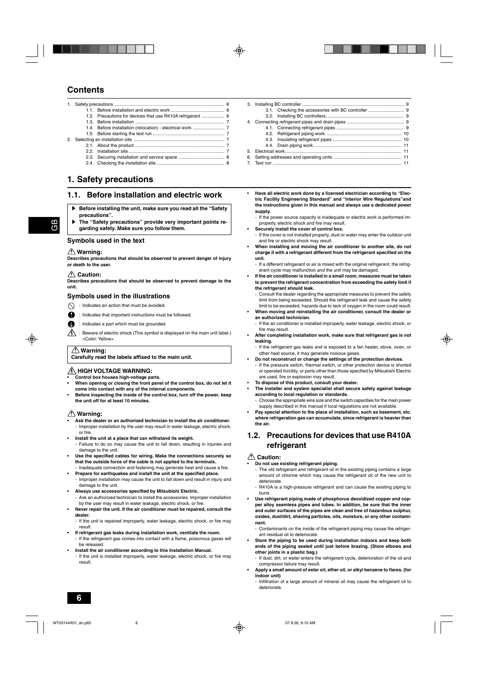## **Contents**

- 1. Safety precautions ...................................................................................... 6 ...<br>1.1. Before installation and electric work .................................. 1.2. Precautions for devices that use R410A refrigerant .................. 6 1.3. Before installation ...................................................................... 7
- 1.4. Before installation (relocation) electrical work ......................... 7 1.5. Before starting the test run ........................................................ 7 2. Selecting an installation site .............. 2.1. About the product ...................................................................... 7 2.2. Installation site ........................................................................... 7 2.3. Securing installation and service space .................................... 8
	- 2.4. Checking the installation site ..................................................... 8

## **1. Safety precautions**

## **1.1. Before installation and electric work**

- s **Before installing the unit, make sure you read all the "Safety precautions".**
- The "Safety precautions" provide very important points re**garding safety. Make sure you follow them.**

### **Symbols used in the text**

### **Warning:**

**Describes precautions that should be observed to prevent danger of injury or death to the user.**

#### **Caution:**

**Describes precautions that should be observed to prevent damage to the unit.**

### **Symbols used in the illustrations**

- $\bigcap$  : Indicates an action that must be avoided.
- : Indicates that important instructions must be followed.
- : Indicates a part which must be grounded.
- : Beware of electric shock (This symbol is displayed on the main unit label.) <Color: Yellow>

#### **Warning:**

#### **Carefully read the labels affixed to the main unit.**

### **HIGH VOLTAGE WARNING:**

- **Control box houses high-voltage parts.**
- **When opening or closing the front panel of the control box, do not let it come into contact with any of the internal components.**
- **Before inspecting the inside of the control box, turn off the power, keep the unit off for at least 10 minutes.**

### *A* Warning:

- **Ask the dealer or an authorized technician to install the air conditioner.** - Improper installation by the user may result in water leakage, electric shock, or fire.
- **Install the unit at a place that can withstand its weight.**
- Failure to do so may cause the unit to fall down, resulting in injuries and damage to the unit.
- **Use the specified cables for wiring. Make the connections securely so that the outside force of the cable is not applied to the terminals.** Inadequate connection and fastening may generate heat and cause a fire.
- **Prepare for earthquakes and install the unit at the specified place.** - Improper installation may cause the unit to fall down and result in injury and
- damage to the unit. **• Always use accessories specified by Mitsubishi Electric.**
- Ask an authorized technician to install the accessories. Improper installation by the user may result in water leakage, electric shock, or fire.
- **Never repair the unit. If the air conditioner must be repaired, consult the dealer.**
- If the unit is repaired improperly, water leakage, electric shock, or fire may result.
- **If refrigerant gas leaks during installation work, ventilate the room.** - If the refrigerant gas comes into contact with a flame, poisonous gases will be released.
- **Install the air conditioner according to this Installation Manual.** If the unit is installed improperly, water leakage, electric shock, or fire may result.
- 3. Installing BC controller ................................................................................ 9 3.1. Checking the accessories with BC controller ............................ 9 3.2. Installing BC controllers............................................................. 9 4. Connecting refrigerant pipes and drain pipes ............................................. 9 4.1. Connecting refrigerant pipes ..................................................... 9 4.2. Refrigerant piping work ........................................................... 10 4.3. Insulating refrigerant pipes ...................................................... 10 4.4. Drain piping work..................................................................... 11 5. Electrical work........................................................................................... 11 6. Setting addresses and operating units ..................................................... 11 7. Test run ..................................................................................................... 11
- **Have all electric work done by a licensed electrician according to "Electric Facility Engineering Standard" and "Interior Wire Regulations"and the instructions given in this manual and always use a dedicated power supply.**
	- If the power source capacity is inadequate or electric work is performed improperly, electric shock and fire may result.
- **Securely install the cover of control box.**
- If the cover is not installed properly, dust or water may enter the outdoor unit and fire or electric shock may result.
- **When installing and moving the air conditioner to another site, do not charge it with a refrigerant different from the refrigerant specified on the unit.**
	- If a different refrigerant or air is mixed with the original refrigerant, the refrigerant cycle may malfunction and the unit may be damaged.
- **If the air conditioner is installed in a small room, measures must be taken to prevent the refrigerant concentration from exceeding the safety limit if the refrigerant should leak.**
	- Consult the dealer regarding the appropriate measures to prevent the safety limit from being exceeded. Should the refrigerant leak and cause the safety limit to be exceeded, hazards due to lack of oxygen in the room could result.
- **When moving and reinstalling the air conditioner, consult the dealer or an authorized technician.**
- If the air conditioner is installed improperly, water leakage, electric shock, or fire may result.
- **After completing installation work, make sure that refrigerant gas is not leaking.**
- If the refrigerant gas leaks and is exposed to a fan heater, stove, oven, or other heat source, it may generate noxious gases.
- **Do not reconstruct or change the settings of the protection devices.**
- If the pressure switch, thermal switch, or other protection device is shorted or operated forcibly, or parts other than those specified by Mitsubishi Electric are used, fire or explosion may result.
- **To dispose of this product, consult your dealer.**
- **The installer and system specialist shall secure safety against leakage according to local regulation or standards.**
	- Choose the appropriate wire size and the switch capacities for the main power supply described in this manual if local regulations are not available.
- **Pay special attention to the place of installation, such as basement, etc. where refrigeration gas can accumulate, since refrigerant is heavier than the air.**

### **1.2. Precautions for devices that use R410A refrigerant**

#### **Caution:**

- **Do not use existing refrigerant piping.**
- The old refrigerant and refrigerant oil in the existing piping contains a large amount of chlorine which may cause the refrigerant oil of the new unit to deteriorate.
- R410A is a high-pressure refrigerant and can cause the existing piping to burst.
- **Use refrigerant piping made of phosphorus deoxidized copper and copper alloy seamless pipes and tubes. In addition, be sure that the inner and outer surfaces of the pipes are clean and free of hazardous sulphur, oxides, dust/dirt, shaving particles, oils, moisture, or any other contaminant.**

- Contaminants on the inside of the refrigerant piping may cause the refrigerant residual oil to deteriorate.

- **Store the piping to be used during installation indoors and keep both ends of the piping sealed until just before brazing. (Store elbows and other joints in a plastic bag.)**
	- If dust, dirt, or water enters the refrigerant cycle, deterioration of the oil and compressor failure may result.
- **Apply a small amount of ester oil, ether oil, or alkyl benzene to flares. (for indoor unit)**
	- Infiltration of a large amount of mineral oil may cause the refrigerant oil to deteriorate.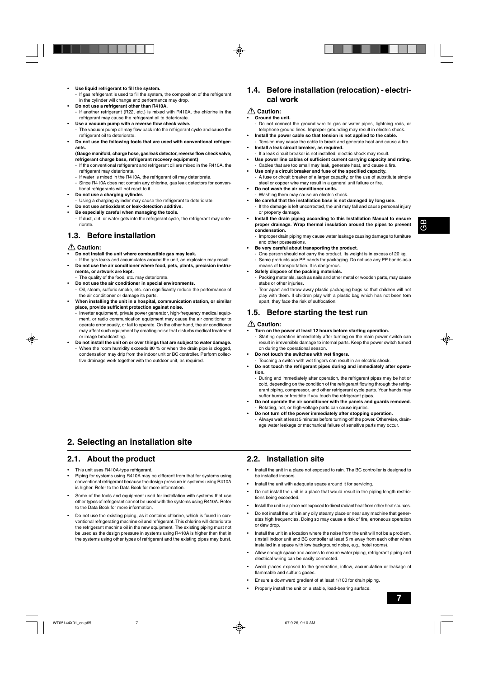- **Use liquid refrigerant to fill the system.**
	- If gas refrigerant is used to fill the system, the composition of the refrigerant in the cylinder will change and performance may drop.
- **Do not use a refrigerant other than R410A.**
- If another refrigerant (R22, etc.) is mixed with R410A, the chlorine in the refrigerant may cause the refrigerant oil to deteriorate.
- **Use a vacuum pump with a reverse flow check valve.** - The vacuum pump oil may flow back into the refrigerant cycle and cause the
- refrigerant oil to deteriorate. **• Do not use the following tools that are used with conventional refrigerants.**
	- **(Gauge manifold, charge hose, gas leak detector, reverse flow check valve, refrigerant charge base, refrigerant recovery equipment)**
	- If the conventional refrigerant and refrigerant oil are mixed in the R410A, the refrigerant may deteriorate.
	- If water is mixed in the R410A, the refrigerant oil may deteriorate.
	- Since R410A does not contain any chlorine, gas leak detectors for conventional refrigerants will not react to it.
- **Do not use a charging cylinder.**
- Using a charging cylinder may cause the refrigerant to deteriorate.
- **Do not use antioxidant or leak-detection additive.**
- **Be especially careful when managing the tools.**
- If dust, dirt, or water gets into the refrigerant cycle, the refrigerant may deteriorate.

## **1.3. Before installation**

#### **Caution:**

- **Do not install the unit where combustible gas may leak.**
- If the gas leaks and accumulates around the unit, an explosion may result. **• Do not use the air conditioner where food, pets, plants, precision instru-**
- **ments, or artwork are kept.**
- The quality of the food, etc. may deteriorate. **• Do not use the air conditioner in special environments.**
- Oil, steam, sulfuric smoke, etc. can significantly reduce the performance of the air conditioner or damage its parts.
- **When installing the unit in a hospital, communication station, or similar place, provide sufficient protection against noise.**
	- Inverter equipment, private power generator, high-frequency medical equipment, or radio communication equipment may cause the air conditioner to operate erroneously, or fail to operate. On the other hand, the air conditioner may affect such equipment by creating noise that disturbs medical treatment or image broadcasting.
- **Do not install the unit on or over things that are subject to water damage.** When the room humidity exceeds 80 % or when the drain pipe is clogged. condensation may drip from the indoor unit or BC controller. Perform collective drainage work together with the outdoor unit, as required.

## **2. Selecting an installation site**

### **2.1. About the product**

- This unit uses R410A-type refrigerant.
- Piping for systems using R410A may be different from that for systems using conventional refrigerant because the design pressure in systems using R410A is higher. Refer to the Data Book for more information.
- Some of the tools and equipment used for installation with systems that use other types of refrigerant cannot be used with the systems using R410A. Refer to the Data Book for more information.
- Do not use the existing piping, as it contains chlorine, which is found in conventional refrigerating machine oil and refrigerant. This chlorine will deteriorate the refrigerant machine oil in the new equipment. The existing piping must not be used as the design pressure in systems using R410A is higher than that in the systems using other types of refrigerant and the existing pipes may burst.

## **1.4. Before installation (relocation) - electrical work**

#### **Caution:**

#### **• Ground the unit.**

- Do not connect the ground wire to gas or water pipes, lightning rods, or telephone ground lines. Improper grounding may result in electric shock.
- **Install the power cable so that tension is not applied to the cable.** Tension may cause the cable to break and generate heat and cause a fire.
- **Install a leak circuit breaker, as required.**
- If a leak circuit breaker is not installed, electric shock may result. **• Use power line cables of sufficient current carrying capacity and rating.** Cables that are too small may leak, generate heat, and cause a fire.
- **Use only a circuit breaker and fuse of the specified capacity.** - A fuse or circuit breaker of a larger capacity, or the use of substitute simple steel or copper wire may result in a general unit failure or fire.
- **Do not wash the air conditioner units.**
- Washing them may cause an electric shock.
- **Be careful that the installation base is not damaged by long use.**
	- If the damage is left uncorrected, the unit may fall and cause personal injury or property damage.
- **Install the drain piping according to this Installation Manual to ensure proper drainage. Wrap thermal insulation around the pipes to prevent condensation.**
	- Improper drain piping may cause water leakage causing damage to furniture and other possessions.

#### **• Be very careful about transporting the product.**

One person should not carry the product. Its weight is in excess of 20 kg. - Some products use PP bands for packaging. Do not use any PP bands as a means of transportation. It is dangerous.

#### **• Safely dispose of the packing materials.**

- Packing materials, such as nails and other metal or wooden parts, may cause stabs or other injuries.
- Tear apart and throw away plastic packaging bags so that children will not play with them. If children play with a plastic bag which has not been torn apart, they face the risk of suffocation.

## **1.5. Before starting the test run**

#### **Caution:**

- **Turn on the power at least 12 hours before starting operation.**
	- Starting operation immediately after turning on the main power switch can result in irreversible damage to internal parts. Keep the power switch turned on during the operational season.
- **Do not touch the switches with wet fingers.**
- Touching a switch with wet fingers can result in an electric shock.
- **Do not touch the refrigerant pipes during and immediately after operation.**
	- During and immediately after operation, the refrigerant pipes may be hot or cold, depending on the condition of the refrigerant flowing through the refrigerant piping, compressor, and other refrigerant cycle parts. Your hands may suffer burns or frostbite if you touch the refrigerant pipes.
- **Do not operate the air conditioner with the panels and guards removed.** - Rotating, hot, or high-voltage parts can cause injuries.
- **Do not turn off the power immediately after stopping operation.** - Always wait at least 5 minutes before turning off the power. Otherwise, drainage water leakage or mechanical failure of sensitive parts may occur.

### **2.2. Installation site**

- Install the unit in a place not exposed to rain. The BC controller is designed to be installed indoors.
- Install the unit with adequate space around it for servicing.
- Do not install the unit in a place that would result in the piping length restrictions being exceeded.
- Install the unit in a place not exposed to direct radiant heat from other heat sources.
- Do not install the unit in any oily steamy place or near any machine that generates high frequencies. Doing so may cause a risk of fire, erroneous operation or dew drop.
- Install the unit in a location where the noise from the unit will not be a problem. (Install indoor unit and BC controller at least 5 m away from each other when installed in a space with low background noise, e.g., hotel rooms).
- Allow enough space and access to ensure water piping, refrigerant piping and electrical wiring can be easily connected.
- Avoid places exposed to the generation, inflow, accumulation or leakage of flammable and sulfuric gases.
- Ensure a downward gradient of at least 1/100 for drain piping.
- Properly install the unit on a stable, load-bearing surface.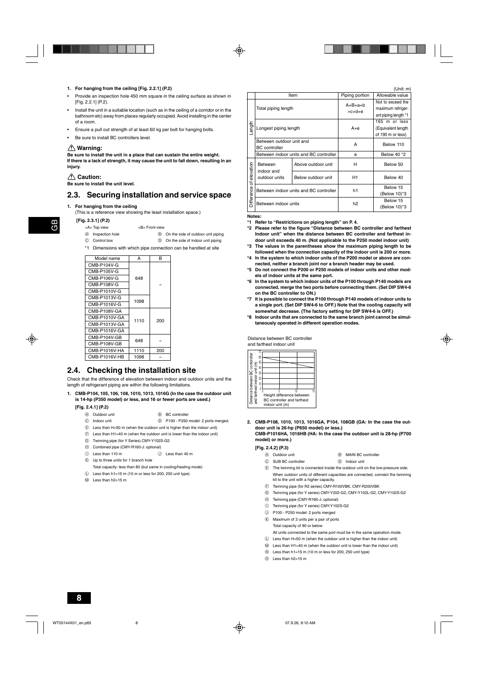#### **1. For hanging from the ceiling [Fig. 2.2.1] (P.2)**

- Provide an inspection hole 450 mm square in the ceiling surface as shown in [Fig. 2.2.1] (P.2).
- Install the unit in a suitable location (such as in the ceiling of a corridor or in the bathroom etc) away from places regularly occupied. Avoid installing in the center of a room.
- Ensure a pull out strength of at least 60 kg per bolt for hanging bolts.
- Be sure to install BC controllers level.

#### **Warning:**

**Be sure to install the unit in a place that can sustain the entire weight. If there is a lack of strength, it may cause the unit to fall down, resulting in an injury.**

#### **Caution:**

**Be sure to install the unit level.**

### **2.3. Securing installation and service space**

#### **1. For hanging from the ceiling**

(This is a reference view showing the least installation space.)

 **[Fig. 2.3.1] (P.2)**

GB

- <A> Top view <B> Front view
- 
- 
- A Inspection hole **B** On the side of outdoor unit piping
- C Control box  $\circledR$  On the side of indoor unit piping
- \*1 Dimensions with which pipe connection can be handled at site

| Model name    | A    | R   |
|---------------|------|-----|
| CMB-P104V-G   |      |     |
| CMB-P105V-G   |      |     |
| CMB-P106V-G   | 648  |     |
| CMB-P108V-G   |      |     |
| CMB-P1010V-G  |      |     |
| CMB-P1013V-G  | 1098 |     |
| CMB-P1016V-G  |      |     |
| CMB-P108V-GA  |      |     |
| CMB-P1010V-GA | 1110 | 200 |
| CMB-P1013V-GA |      |     |
| CMB-P1016V-GA |      |     |
| CMB-P104V-GB  | 648  |     |
| CMB-P108V-GB  |      |     |
| CMB-P1016V-HA | 1110 | 200 |
| CMB-P1016V-HB | 1098 |     |
|               |      |     |

### **2.4. Checking the installation site**

Check that the difference of elevation between indoor and outdoor units and the length of refrigerant piping are within the following limitations.

**1. CMB-P104, 105, 106, 108, 1010, 1013, 1016G (In the case the outdoor unit is 14-hp (P350 model) or less, and 16 or fewer ports are used.)**

#### **[Fig. 2.4.1] (P.2)**

- A Outdoor unit B BC controller
- C Indoor unit D P100 P250 model: 2 ports merged
- E Less than H=50 m (when the outdoor unit is higher than the indoor unit)
- $(F)$  Less than H1=40 m (when the outdoor unit is lower than the indoor unit)
- G Twinning pipe (for Y Series) CMY-Y102S-G2
- $\oplus$  Combined pipe (CMY-R160-J: optional)
- (i) Less than 110 m  $\qquad$  O Less than 40 m
- $R$  Up to three units for 1 branch hole
	- Total capacity: less than 80 (but same in cooling/heating mode)
- $\mathbb D$  Less than h1=15 m (10 m or less for 200, 250 unit type)
- M Less than h2=15 m

|                      |                    |                                                                                                                                                                                              | $($ UHIL $\,$ HII                                              |
|----------------------|--------------------|----------------------------------------------------------------------------------------------------------------------------------------------------------------------------------------------|----------------------------------------------------------------|
|                      |                    | Piping portion                                                                                                                                                                               | Allowable value                                                |
|                      |                    | $A+B+a+b$<br>$+c+d+e$                                                                                                                                                                        | Not to exceed the<br>maximum refriger-<br>ant piping length *1 |
|                      |                    | A+e                                                                                                                                                                                          | 165 m or less<br>(Equivalent length<br>of 190 m or less)       |
| <b>BC</b> controller |                    | A                                                                                                                                                                                            | Below 110                                                      |
|                      |                    | e                                                                                                                                                                                            | Below 40 *2                                                    |
| Between              | Above outdoor unit | н                                                                                                                                                                                            | Below 50                                                       |
| outdoor units        | Below outdoor unit | H1                                                                                                                                                                                           | Below 40                                                       |
|                      |                    | h1                                                                                                                                                                                           | Below 15<br>(Below 10)*3                                       |
|                      |                    | h <sub>2</sub>                                                                                                                                                                               | Below 15<br>(Below 10)*3                                       |
|                      | indoor and         | Item<br>Total piping length<br>Longest piping length<br>Between outdoor unit and<br>Between indoor units and BC controller<br>Between indoor units and BC controller<br>Between indoor units |                                                                |

**Notes:**

- **\*1 Refer to "Restrictions on piping length" on P. 4.**
- **\*2 Please refer to the figure "Distance between BC controller and farthest Indoor unit" when the distance between BC controller and farthest indoor unit exceeds 40 m. (Not applicable to the P250 model indoor unit)**
- **\*3 The values in the parentheses show the maximum piping length to be followed when the connection capacity of the indoor unit is 200 or more.**
- **\*4 In the system to which indoor units of the P200 model or above are connected, neither a branch joint nor a branch header may be used.**
- **\*5 Do not connect the P200 or P250 models of indoor units and other models of indoor units at the same port.**
- **\*6 In the system to which indoor units of the P100 through P140 models are connected, merge the two ports before connecting them. (Set DIP SW4-6 on the BC controller to ON.)**
- **\*7 It is possible to connect the P100 through P140 models of indoor units to a single port. (Set DIP SW4-6 to OFF.) Note that the cooling capacity will somewhat decrease. (The factory setting for DIP SW4-6 is OFF.)**
- **\*8 Indoor units that are connected to the same branch joint cannot be simultaneously operated in different operation modes.**

Distance between BC controller and farthest indoor unit

| 70                                       |                 |                                                                |    |
|------------------------------------------|-----------------|----------------------------------------------------------------|----|
| Distance between BC contoroller<br>60    |                 |                                                                |    |
| 50<br>and farthest indoor unit (m)<br>40 |                 |                                                                |    |
| 30                                       |                 |                                                                |    |
| 20                                       |                 |                                                                |    |
| 10                                       |                 |                                                                |    |
| Ō                                        |                 |                                                                |    |
|                                          |                 | 10                                                             | 15 |
|                                          |                 | Height difference between<br><b>BC</b> controller and farthest |    |
|                                          | indoor unit (m) |                                                                |    |

**2. CMB-P108, 1010, 1013, 1016GA, P104, 108GB (GA: In the case the outdoor unit is 26-hp (P650 model) or less.)**

**CMB-P1016HA, 1016HB (HA: In the case the outdoor unit is 28-hp (P700 model) or more.)**

#### **[Fig. 2.4.2] (P.3)**

- 4 Outdoor unit B MAIN BC controller
- C SUB BC controller D Indoor unit
	-
- E The twinning kit is connected inside the outdoor unit on the low-pressure side. When outdoor units of different capacities are connected, connect the twinning kit to the unit with a higher capacity.
- F Twinning pipe (for R2 series) CMY-R100VBK, CMY-R200VBK
- G Twinning pipe (for Y series) CMY-Y202-G2, CMY-Y102L-G2, CMY-Y102S-G2
- $\oplus$  Twinning pipe (CMY-R160-J: optional)
- $\circledR$  Twinning pipe (for Y series) CMY-Y102S-G2
- J P100 P250 model: 2 ports merged
- K Maximum of 3 units per a pair of ports Total capacity of 90 or below All units connected to the same port must be in the same operation mode.
- $\circ$  Less than H=50 m (when the outdoor unit is higher than the indoor unit)
- M Less than H1=40 m (when the outdoor unit is lower than the indoor unit)
- $\mathbb{N}$  Less than h1=15 m (10 m or less for 200, 250 unit type)
- O Less than h2=15 m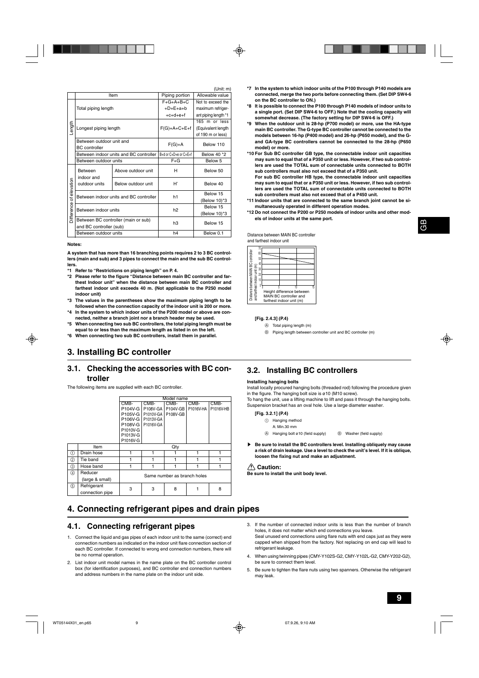$(1 \text{lnit: m})$ 

|              |                             |                                        |                       | (UIIIL.III <i>I</i>  |  |
|--------------|-----------------------------|----------------------------------------|-----------------------|----------------------|--|
|              |                             | Item                                   | Piping portion        | Allowable value      |  |
|              |                             |                                        | $F+G+A+B+C$           | Not to exceed the    |  |
|              | Total piping length         |                                        | $+D+E+a+b$            | maximum refriger-    |  |
|              |                             |                                        | $+c+d+e+f$            | ant piping length *1 |  |
|              |                             |                                        |                       | 165 m or less        |  |
| Length       | Longest piping length       |                                        | $F(G)+A+C+E+f$        | (Equivalent length   |  |
|              |                             |                                        |                       | of 190 m or less)    |  |
|              | Between outdoor unit and    |                                        | $F(G)+A$              | Below 110            |  |
|              | <b>BC</b> controller        |                                        |                       |                      |  |
|              |                             | Between indoor units and BC controller | B+d or C+D+e or C+E+f | Below 40 *2          |  |
|              | Between outdoor units       |                                        | $F + G$               | Below <sub>5</sub>   |  |
|              | <b>Between</b>              | Above outdoor unit                     | н                     | Below 50             |  |
| of elevation | indoor and<br>outdoor units | Below outdoor unit                     | H,                    | Below 40             |  |
|              |                             | Between indoor units and BC controller | h1                    | Below 15             |  |
|              |                             |                                        |                       | (Below 10)*3         |  |
|              | Between indoor units        |                                        | h2                    | Below 15             |  |
| Difference   |                             |                                        |                       | (Below 10)*3         |  |
|              |                             | Between BC controller (main or sub)    | h3                    | Below 15             |  |
|              | and BC controller (sub)     |                                        |                       |                      |  |
|              | Between outdoor units       |                                        | h4                    | Below 0.1            |  |
|              |                             |                                        |                       |                      |  |

#### **Notes:**

**A system that has more than 16 branching points requires 2 to 3 BC controllers (main and sub) and 3 pipes to connect the main and the sub BC controllers.**

- **\*1 Refer to "Restrictions on piping length" on P. 4.**
- **\*2 Please refer to the figure "Distance between main BC controller and farthest Indoor unit" when the distance between main BC controller and farthest indoor unit exceeds 40 m. (Not applicable to the P250 model indoor unit)**
- **\*3 The values in the parentheses show the maximum piping length to be followed when the connection capacity of the indoor unit is 200 or more.**
- **\*4 In the system to which indoor units of the P200 model or above are connected, neither a branch joint nor a branch header may be used.**
- **\*5 When connecting two sub BC controllers, the total piping length must be equal to or less than the maximum length as listed in on the left.**
- **\*6 When connecting two sub BC controllers, install them in parallel.**

## **3. Installing BC controller**

### **3.1. Checking the accessories with BC controller**

The following items are supplied with each BC controller.

|     |                 | Model name                  |           |          |           |           |  |
|-----|-----------------|-----------------------------|-----------|----------|-----------|-----------|--|
|     |                 | CMB-                        | CMB-      | CMB-     | CMB-      | CMB-      |  |
|     |                 | P104V-G                     | P108V-GA  | P104V-GB | P1016V-HA | P1016V-HB |  |
|     |                 | P105V-G                     | P1010V-GA | P108V-GB |           |           |  |
|     |                 | P106V-G                     | P1013V-GA |          |           |           |  |
|     |                 | P <sub>108</sub> V-G        | P1016V-GA |          |           |           |  |
|     |                 | P1010V-G                    |           |          |           |           |  |
|     |                 | P1013V-G                    |           |          |           |           |  |
|     |                 | P1016V-G                    |           |          |           |           |  |
|     | Item            |                             |           | Qty      |           |           |  |
| ⋒   | Drain hose      |                             |           |          |           | 1         |  |
| ②   | Tie band        |                             |           |          |           |           |  |
| ③   | Hose band       |                             |           |          |           |           |  |
| 4   | Reducer         |                             |           |          |           |           |  |
|     | (large & small) | Same number as branch holes |           |          |           |           |  |
| (5) | Refrigerant     | 3                           | 3         | 8        |           | 8         |  |
|     | connection pipe |                             |           |          |           |           |  |

## **4. Connecting refrigerant pipes and drain pipes**

### **4.1. Connecting refrigerant pipes**

- 1. Connect the liquid and gas pipes of each indoor unit to the same (correct) end connection numbers as indicated on the indoor unit flare connection section of each BC controller. If connected to wrong end connection numbers, there will be no normal operation.
- 2. List indoor unit model names in the name plate on the BC controller control box (for identification purposes), and BC controller end connection numbers and address numbers in the name plate on the indoor unit side.
- **\*7 In the system to which indoor units of the P100 through P140 models are connected, merge the two ports before connecting them. (Set DIP SW4-6 on the BC controller to ON.)**
- **\*8 It is possible to connect the P100 through P140 models of indoor units to a single port. (Set DIP SW4-6 to OFF.) Note that the cooling capacity will somewhat decrease. (The factory setting for DIP SW4-6 is OFF.)**
- **\*9 When the outdoor unit is 28-hp (P700 model) or more, use the HA-type main BC controller. The G-type BC controller cannot be connected to the models between 16-hp (P400 model) and 26-hp (P650 model), and the Gand GA-type BC controllers cannot be connected to the 28-hp (P650 model) or more.**
- **\*10 For Sub BC controller GB type, the connectable indoor unit capacities may sum to equal that of a P350 unit or less. However, if two sub controllers are used the TOTAL sum of connectable units connected to BOTH sub controllers must also not exceed that of a P350 unit. For sub BC controller HB type, the connectable indoor unit capacities** may sum to equal that or a P350 unit or less. However, if two sub control-
- **lers are used the TOTAL sum of connectable units connected to BOTH sub controllers must also not exceed that of a P450 unit. \*11 Indoor units that are connected to the same branch joint cannot be si-**
- **multaneously operated in different operation modes.**
- **\*12 Do not connect the P200 or P250 models of indoor units and other models of indoor units at the same port.**

Distance between MAIN BC controller and farthest indoor unit

|                                                                     | 70 |                           |    |
|---------------------------------------------------------------------|----|---------------------------|----|
|                                                                     | 60 |                           |    |
|                                                                     | 50 |                           |    |
|                                                                     |    |                           |    |
|                                                                     | 40 |                           |    |
|                                                                     | 30 |                           |    |
|                                                                     | 20 |                           |    |
|                                                                     |    |                           |    |
|                                                                     | 10 |                           |    |
|                                                                     | 0  | 10                        | 15 |
| Distance between MAIN BC controller<br>and farthest indoor unit (m) |    | Height difference between |    |
|                                                                     |    | MAIN BC controller and    |    |
|                                                                     |    | farthest indoor unit (m)  |    |

#### **[Fig. 2.4.3] (P.4)**

- A Total piping length (m)
- B Piping length between controller unit and BC controller (m)

### **3.2. Installing BC controllers**

#### **Installing hanging bolts**

Install locally procured hanging bolts (threaded rod) following the procedure given in the figure. The hanging bolt size is ø10 (M10 screw).

To hang the unit, use a lifting machine to lift and pass it through the hanging bolts. Suspension bracket has an oval hole. Use a large diameter washer.

#### **[Fig. 3.2.1] (P.4)**

- 1 Hanging method
- A: Min.30 mm
- $\circledA$  Hanging bolt ø10 (field supply)  $\circledB$  Washer (field supply)
- **Be sure to install the BC controllers level. Installing obliquely may cause a risk of drain leakage. Use a level to check the unit's level. If it is oblique, loosen the fixing nut and make an adjustment.**

#### *A* Caution:

**Be sure to install the unit body level.**

- 3. If the number of connected indoor units is less than the number of branch holes, it does not matter which end connections you leave. Seal unused end connections using flare nuts with end caps just as they were capped when shipped from the factory. Not replacing on end cap will lead to refrigerant leakage.
- 4. When using twinning pipes (CMY-Y102S-G2, CMY-Y102L-G2, CMY-Y202-G2), be sure to connect them level.
- 5. Be sure to tighten the flare nuts using two spanners. Otherwise the refrigerant may leak.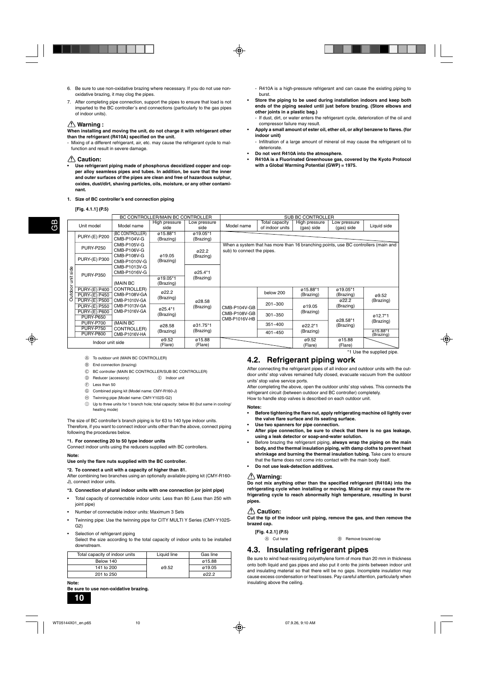- 6. Be sure to use non-oxidative brazing where necessary. If you do not use nonoxidative brazing, it may clog the pipes.
- 7. After completing pipe connection, support the pipes to ensure that load is not imparted to the BC controller's end connections (particularly to the gas pipes of indoor units).

#### **Warning :**

**When installing and moving the unit, do not charge it with refrigerant other than the refrigerant (R410A) specified on the unit.**

- Mixing of a different refrigerant, air, etc. may cause the refrigerant cycle to malfunction and result in severe damage.

#### **Caution:**

**• Use refrigerant piping made of phosphorus deoxidized copper and copper alloy seamless pipes and tubes. In addition, be sure that the inner and outer surfaces of the pipes are clean and free of hazardous sulphur, oxides, dust/dirt, shaving particles, oils, moisture, or any other contaminant.**

#### **1. Size of BC controller's end connection piping**

#### **[Fig. 4.1.1] (P.5)**

|                  |                                              | BC CONTROLLER/MAIN BC CONTROLLER |                       |                       | <b>SUB BC CONTROLLER</b> |                                                                                                                  |                               |                            |                       |          |
|------------------|----------------------------------------------|----------------------------------|-----------------------|-----------------------|--------------------------|------------------------------------------------------------------------------------------------------------------|-------------------------------|----------------------------|-----------------------|----------|
|                  | Unit model                                   | Model name                       | High pressure<br>side | Low pressure<br>side  | Model name               | Total capacity<br>of indoor units                                                                                | High pressure<br>(gas) side   | Low pressure<br>(gas) side | Liquid side           |          |
|                  | <b>PURY-(E) P200</b>                         | (BC CONTROLLER)<br>CMB-P104V-G   | ø15.88*1<br>(Brazing) | ø19.05*1<br>(Brazing) |                          |                                                                                                                  |                               |                            |                       |          |
| unit side        | <b>PURY-P250</b>                             | CMB-P105V-G<br>CMB-P106V-G       |                       | ø22.2                 |                          | When a system that has more than 16 branching points, use BC controllers (main and<br>sub) to connect the pipes. |                               |                            |                       |          |
|                  | <b>PURY-(E) P300</b>                         | CMB-P108V-G<br>CMB-P1010V-G      | ø19.05<br>(Brazing)   | (Brazing)             |                          |                                                                                                                  |                               |                            |                       |          |
|                  | <b>PURY-P350</b>                             | CMB-P1013V-G<br>CMB-P1016V-G     |                       | ø25.4*1               |                          |                                                                                                                  |                               |                            |                       |          |
|                  |                                              | (MAIN BC                         | ø19.05*1<br>(Brazing) | (Brazing)             |                          |                                                                                                                  |                               |                            |                       |          |
| Outdoor          | <b>PURY-(E) P400</b><br><b>PURY-(E) P450</b> | CONTROLLER)<br>CMB-P108V-GA      | ø22.2<br>(Brazing)    |                       |                          | below 200                                                                                                        | ø15.88*1<br>(Brazing)         | ø19.05*1<br>(Brazing)      | ø9.52                 |          |
|                  | <b>PURY-(E) P500</b><br><b>PURY-(E) P550</b> | CMB-P1010V-GA<br>CMB-P1013V-GA   | ø25.4*1               | ø28.58<br>(Brazing)   | CMB-P104V-GB             | 201~300                                                                                                          | ø19.05                        | ø22.2<br>(Brazing)         | (Brazing)             |          |
|                  | <b>PURY-(E) P600</b><br><b>PURY-P650</b>     | CMB-P1016V-GA                    | (Brazing)             |                       |                          |                                                                                                                  | CMB-P108V-GB<br>CMB-P1016V-HB | $301 - 350$                | (Brazing)             | ø28.58*1 |
|                  | <b>PURY-P700</b><br><b>PURY-P750</b>         | (MAIN BC<br>CONTROLLER)          | ø28.58                | ø31.75*1              |                          | $351 - 400$                                                                                                      | ø22.2*1                       | (Brazing)                  | (Brazing)             |          |
|                  | <b>PURY-P800</b>                             | CMB-P1016V-HA                    | (Brazing)             | (Brazing)             |                          | 401~450                                                                                                          | (Brazing)                     |                            | ø15.88*1<br>(Brazing) |          |
| Indoor unit side |                                              | ø9.52<br>(Flare)                 | ø15.88<br>(Flare)     |                       |                          | ø9.52<br>(Flare)                                                                                                 | ø15.88<br>(Flare)             |                            |                       |          |

burst.

**indoor unit)**

deteriorate.

**other joints in a plastic bag.)**

compressor failure may result.

**• Do not vent R410A into the atmosphere.**

**with a Global Warming Potential (GWP) = 1975.**

- A To outdoor unit (MAIN BC CONTROLLER)
- B End connection (brazing)
- C BC controller (MAIN BC CONTROLLER/SUB BC CONTROLLER)
- D Reducer (accessory) E Indoor unit
- F Less than 50
- G Combined piping kit (Model name: CMY-R160-J)
- $\oplus$  Twinning pipe (Model name: CMY-Y102S-G2)
- $\circled{1}$  Up to three units for 1 branch hole; total capacity: below 80 (but same in cooling) heating mode)

#### The size of BC controller's branch piping is for 63 to 140 type indoor units. Therefore, if you want to connect indoor units other than the above, connect piping

following the procedures below.

#### **\*1. For connecting 20 to 50 type indoor units**

Connect indoor units using the reducers supplied with BC controllers.

#### **Note:**

#### **Use only the flare nuts supplied with the BC controller.**

**\*2. To connect a unit with a capacity of higher than 81.**

After combining two branches using an optionally available piping kit (CMY-R160- J), connect indoor units.

#### **\*3. Connection of plural indoor units with one connection (or joint pipe)**

- Total capacity of connectable indoor units: Less than 80 (Less than 250 with joint pipe)
- Number of connectable indoor units: Maximum 3 Sets
- Twinning pipe: Use the twinning pipe for CITY MULTI Y Series (CMY-Y102S-G2)

#### Selection of refrigerant piping

Select the size according to the total capacity of indoor units to be installed downstream.

| Total capacity of indoor units | Liquid line | Gas line |
|--------------------------------|-------------|----------|
| Below 140                      |             | ø15.88   |
| 141 to 200                     | ø9.52       | ø19.05   |
| 201 to 250                     |             | a22.2    |
|                                |             |          |

### **• Before tightening the flare nut, apply refrigerating machine oil lightly over**

**Notes:**

units' stop valve service ports.

**the valve flare surface and its seating surface.**

**4.2. Refrigerant piping work**

- **Use two spanners for pipe connection.**
- **After pipe connection, be sure to check that there is no gas leakage, using a leak detector or soap-and-water solution.**

After connecting the refrigerant pipes of all indoor and outdoor units with the outdoor units' stop valves remained fully closed, evacuate vacuum from the outdoor

After completing the above, open the outdoor units' stop valves. This connects the

refrigerant circuit (between outdoor and BC controller) completely. How to handle stop valves is described on each outdoor unit.

\*1 Use the supplied pipe.

- R410A is a high-pressure refrigerant and can cause the existing piping to

**• Store the piping to be used during installation indoors and keep both ends of the piping sealed until just before brazing. (Store elbows and**

- If dust, dirt, or water enters the refrigerant cycle, deterioration of the oil and

**• Apply a small amount of ester oil, ether oil, or alkyl benzene to flares. (for**

- Infiltration of a large amount of mineral oil may cause the refrigerant oil to

**• R410A is a Fluorinated Greenhouse gas, covered by the Kyoto Protocol**

- Before brazing the refrigerant piping, **always wrap the piping on the main body, and the thermal insulation piping, with damp cloths to prevent heat shrinkage and burning the thermal insulation tubing.** Take care to ensure that the flame does not come into contact with the main body itself.
- **Do not use leak-detection additives.**

#### **Warning:**

**Do not mix anything other than the specified refrigerant (R410A) into the refrigerating cycle when installing or moving. Mixing air may cause the refrigerating cycle to reach abnormally high temperature, resulting in burst pipes.**

#### **Caution:**

**Cut the tip of the indoor unit piping, remove the gas, and then remove the brazed cap.**

| - - -      |                            |
|------------|----------------------------|
| A Cut here | <b>B</b> Remove brazed cap |

## **4.3. Insulating refrigerant pipes**

Be sure to wind heat-resisting polyethylene form of more than 20 mm in thickness onto both liquid and gas pipes and also put it onto the joints between indoor unit and insulating material so that there will be no gaps. Incomplete insulation may cause excess condensation or heat losses. Pay careful attention, particularly when insulating above the ceiling.

**Note: Be sure to use non-oxidative brazing.**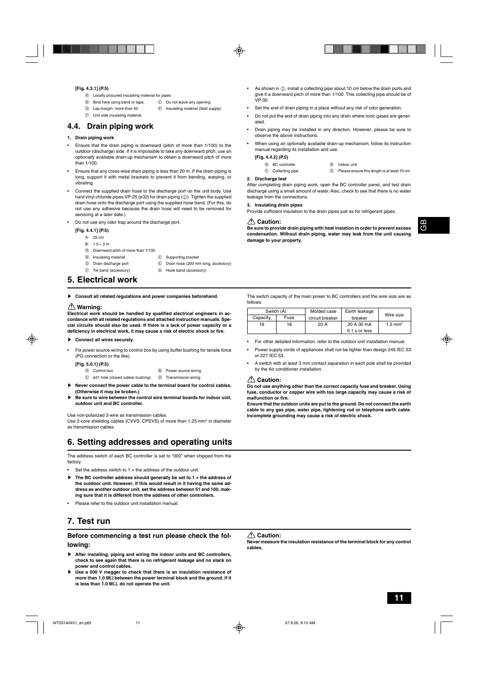#### **[Fig. 4.3.1] (P.5)**

- A Locally procured insulating material for pipes
- B Bind here using band or tape. C Do not leave any opening.
- D Lap margin: more than 40 E Insulating material (field supply)
- 
- F Unit side insulating material

### **4.4. Drain piping work**

#### **1. Drain piping work**

- Ensure that the drain piping is downward (pitch of more than 1/100) to the outdoor (discharge) side. If it is impossible to take any downward pitch, use an optionally available drain-up mechanism to obtain a downward pitch of more than 1/100.
- Ensure that any cross-wise drain piping is less than 20 m. If the drain piping is long, support it with metal brackets to prevent it from bending, warping, or vibrating.
- Connect the supplied drain hose to the discharge port on the unit body. Use hard vinyl chloride pipes VP-25 (ø32) for drain piping (2). Tighten the supplied drain hose onto the discharge port using the supplied hose band. (For this, do not use any adhesive because the drain hose will need to be removed for servicing at a later date.)
- Do not use any odor trap around the discharge port.

#### **[Fig. 4.4.1] (P.5)**

- A: 25 cm
- B: 1.5 2 m
- A Downward pitch of more than 1/100
- **B** Insulating material **C** Supporting bracket
- D Drain discharge port E Drain hose (200 mm long, accessory)
- 
- F Tie band (accessory) G Hose band (accessory)

### **5. Electrical work**

Consult all related regulations and power companies beforehand.

#### **Warning:**

**Electrical work should be handled by qualified electrical engineers in accordance with all related regulations and attached instruction manuals. Special circuits should also be used. If there is a lack of power capacity or a deficiency in electrical work, it may cause a risk of electric shock or fire.**

- **EXECONDECT All wires securely.**
- Fix power source wiring to control box by using buffer bushing for tensile force (PG connection or the like).

| [Fig. 5.0.1] (P.5) |  |
|--------------------|--|
|--------------------|--|

- A Control box B Power source wiring
- $\textcircled{c}$  ø21 hole (closed rubber bushing)  $\textcircled{b}$  Transmission wiring
- s **Never connect the power cable to the terminal board for control cables. (Otherwise it may be broken.)**
- Be sure to wire between the control wire terminal boards for indoor unit, **outdoor unit and BC controller.**

Use non-polarized 2-wire as transmission cables.

Use 2-core shielding cables (CVVS, CPEVS) of more than 1.25 mm<sup>2</sup> in diameter as transmission cables.

## **6. Setting addresses and operating units**

The address switch of each BC controller is set to "000" when shipped from the factory.

- Set the address switch to  $1 +$  the address of the outdoor unit.
- s **The BC controller address should generally be set to 1 + the address of the outdoor unit. However, if this would result in it having the same address as another outdoor unit, set the address between 51 and 100, making sure that it is different from the address of other controllers.**
- Please refer to the outdoor unit installation manual.

## **7. Test run**

#### **Before commencing a test run please check the following:**

- s **After installing, piping and wiring the indoor units and BC controllers, check to see again that there is no refrigerant leakage and no slack on power and control cables.**
- s **Use a 500 V megger to check that there is an insulation resistance of more than 1.0 M**Ω **between the power terminal block and the ground. If it is less than 1.0 M**Ω**, do not operate the unit.**
- As shown in  $\circled{3}$ , install a collecting pipe about 10 cm below the drain ports and give it a downward pitch of more than 1/100. This collecting pipe should be of VP-30.
- Set the end of drain piping in a place without any risk of odor generation.
- Do not put the end of drain piping into any drain where ionic gases are generated.
- Drain piping may be installed in any direction. However, please be sure to observe the above instructions.
- When using an optionally available drain-up mechanism, follow its instruction manual regarding its installation and use.

#### **[Fig. 4.4.2] (P.5)**

| A BC controller | Indoor unit |
|-----------------|-------------|
|                 |             |

C Collecting pipe  $\circledcirc$  Please ensure this length is at least 10 cm.

#### **2. Discharge test**

After completing drain piping work, open the BC controller panel, and test drain discharge using a small amount of water. Also, check to see that there is no water leakage from the connections.

#### **3. Insulating drain pipes**

Provide sufficient insulation to the drain pipes just as for refrigerant pipes.

#### **Caution:**

**Be sure to provide drain piping with heat inslation in order to prevent excess condensation. Without drain piping, water may leak from the unit causing damage to your property.**

The switch capacity of the main power to BC controllers and the wire size are as follows:

| Switch (A) |      | Molded case     | Earth leakage |                       |  |
|------------|------|-----------------|---------------|-----------------------|--|
| Capacity   | Fuse | circuit breaker | breaker       | Wire size             |  |
| 16         | 16   | 20A             | 20 A 30 mA    | $1.5$ mm <sup>2</sup> |  |
|            |      |                 | 0.1 s or less |                       |  |

- For other detailed information, refer to the outdoor unit installation manual.
- Power supply cords of appliances shall not be lighter than design 245 IEC 53 or 227 IEC 53.
- A switch with at least 3 mm contact separation in each pole shall be provided by the Air conditioner installation.

#### **Caution:**

**Do not use anything other than the correct capacity fuse and breaker. Using fuse, conductor or copper wire with too large capacity may cause a risk of malfunction or fire.**

**Ensure that the outdoor units are put to the ground. Do not connect the earth cable to any gas pipe, water pipe, lightening rod or telephone earth cable. Incomplete grounding may cause a risk of electric shock.**

#### **Caution:**

**Never measure the insulation resistance of the terminal block for any control cables.**

GB